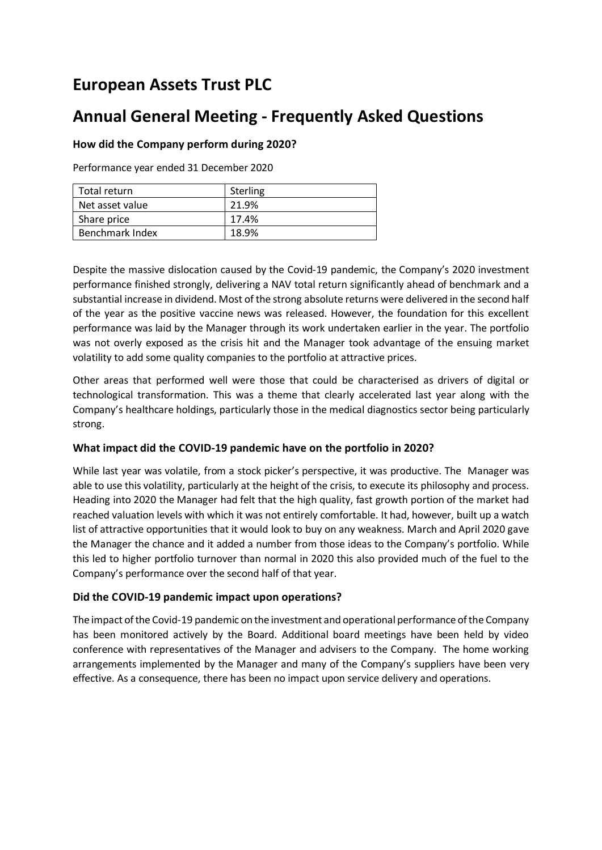# **European Assets Trust PLC**

# **Annual General Meeting - Frequently Asked Questions**

# **How did the Company perform during 2020?**

Performance year ended 31 December 2020

| Total return    | Sterling |
|-----------------|----------|
| Net asset value | 21.9%    |
| Share price     | 17.4%    |
| Benchmark Index | 18.9%    |

Despite the massive dislocation caused by the Covid-19 pandemic, the Company's 2020 investment performance finished strongly, delivering a NAV total return significantly ahead of benchmark and a substantial increase in dividend. Most of the strong absolute returns were delivered in the second half of the year as the positive vaccine news was released. However, the foundation for this excellent performance was laid by the Manager through its work undertaken earlier in the year. The portfolio was not overly exposed as the crisis hit and the Manager took advantage of the ensuing market volatility to add some quality companies to the portfolio at attractive prices.

Other areas that performed well were those that could be characterised as drivers of digital or technological transformation. This was a theme that clearly accelerated last year along with the Company's healthcare holdings, particularly those in the medical diagnostics sector being particularly strong.

## **What impact did the COVID-19 pandemic have on the portfolio in 2020?**

While last year was volatile, from a stock picker's perspective, it was productive. The Manager was able to use this volatility, particularly at the height of the crisis, to execute its philosophy and process. Heading into 2020 the Manager had felt that the high quality, fast growth portion of the market had reached valuation levels with which it was not entirely comfortable. It had, however, built up a watch list of attractive opportunities that it would look to buy on any weakness. March and April 2020 gave the Manager the chance and it added a number from those ideas to the Company's portfolio. While this led to higher portfolio turnover than normal in 2020 this also provided much of the fuel to the Company's performance over the second half of that year.

## **Did the COVID-19 pandemic impact upon operations?**

The impact of the Covid-19 pandemic on the investment and operational performance of the Company has been monitored actively by the Board. Additional board meetings have been held by video conference with representatives of the Manager and advisers to the Company. The home working arrangements implemented by the Manager and many of the Company's suppliers have been very effective. As a consequence, there has been no impact upon service delivery and operations.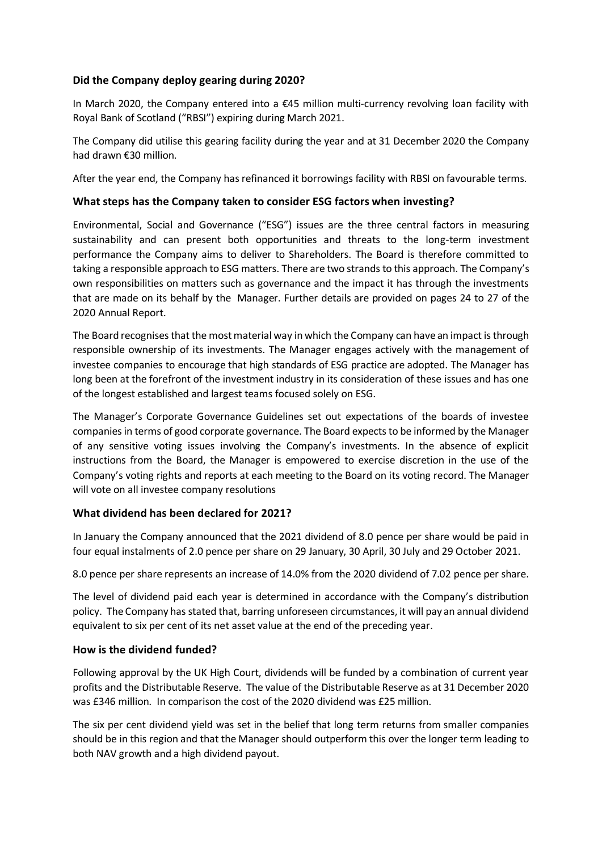## **Did the Company deploy gearing during 2020?**

In March 2020, the Company entered into a €45 million multi-currency revolving loan facility with Royal Bank of Scotland ("RBSI") expiring during March 2021.

The Company did utilise this gearing facility during the year and at 31 December 2020 the Company had drawn €30 million.

After the year end, the Company has refinanced it borrowings facility with RBSI on favourable terms.

## **What steps has the Company taken to consider ESG factors when investing?**

Environmental, Social and Governance ("ESG") issues are the three central factors in measuring sustainability and can present both opportunities and threats to the long-term investment performance the Company aims to deliver to Shareholders. The Board is therefore committed to taking a responsible approach to ESG matters. There are two strands to this approach. The Company's own responsibilities on matters such as governance and the impact it has through the investments that are made on its behalf by the Manager. Further details are provided on pages 24 to 27 of the 2020 Annual Report.

The Board recognises that the most material way in which the Company can have an impact is through responsible ownership of its investments. The Manager engages actively with the management of investee companies to encourage that high standards of ESG practice are adopted. The Manager has long been at the forefront of the investment industry in its consideration of these issues and has one of the longest established and largest teams focused solely on ESG.

The Manager's Corporate Governance Guidelines set out expectations of the boards of investee companies in terms of good corporate governance. The Board expects to be informed by the Manager of any sensitive voting issues involving the Company's investments. In the absence of explicit instructions from the Board, the Manager is empowered to exercise discretion in the use of the Company's voting rights and reports at each meeting to the Board on its voting record. The Manager will vote on all investee company resolutions

## **What dividend has been declared for 2021?**

In January the Company announced that the 2021 dividend of 8.0 pence per share would be paid in four equal instalments of 2.0 pence per share on 29 January, 30 April, 30 July and 29 October 2021.

8.0 pence per share represents an increase of 14.0% from the 2020 dividend of 7.02 pence per share.

The level of dividend paid each year is determined in accordance with the Company's distribution policy. The Company has stated that, barring unforeseen circumstances, it will pay an annual dividend equivalent to six per cent of its net asset value at the end of the preceding year.

#### **How is the dividend funded?**

Following approval by the UK High Court, dividends will be funded by a combination of current year profits and the Distributable Reserve. The value of the Distributable Reserve as at 31 December 2020 was £346 million. In comparison the cost of the 2020 dividend was £25 million.

The six per cent dividend yield was set in the belief that long term returns from smaller companies should be in this region and that the Manager should outperform this over the longer term leading to both NAV growth and a high dividend payout.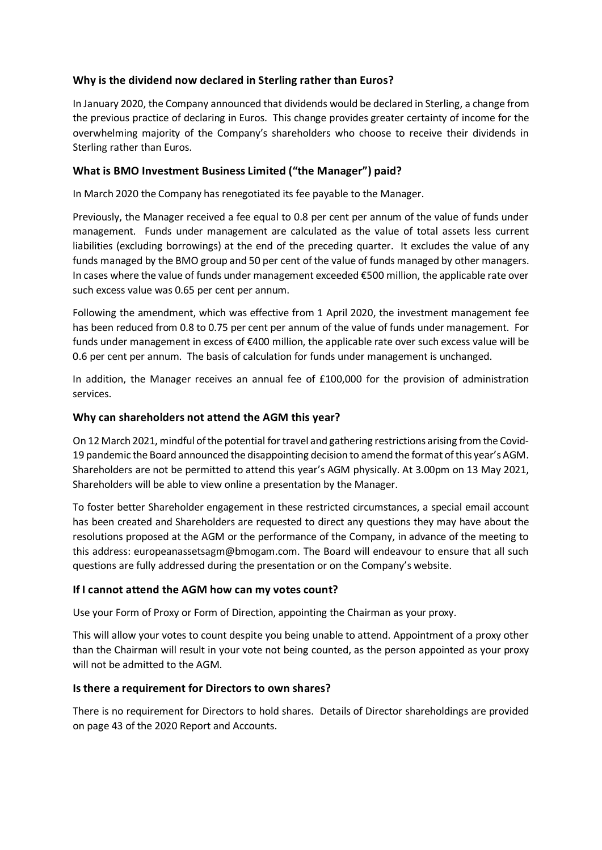# **Why is the dividend now declared in Sterling rather than Euros?**

In January 2020, the Company announced that dividends would be declared in Sterling, a change from the previous practice of declaring in Euros. This change provides greater certainty of income for the overwhelming majority of the Company's shareholders who choose to receive their dividends in Sterling rather than Euros.

# **What is BMO Investment Business Limited ("the Manager") paid?**

In March 2020 the Company has renegotiated its fee payable to the Manager.

Previously, the Manager received a fee equal to 0.8 per cent per annum of the value of funds under management. Funds under management are calculated as the value of total assets less current liabilities (excluding borrowings) at the end of the preceding quarter. It excludes the value of any funds managed by the BMO group and 50 per cent of the value of funds managed by other managers. In cases where the value of funds under management exceeded €500 million, the applicable rate over such excess value was 0.65 per cent per annum.

Following the amendment, which was effective from 1 April 2020, the investment management fee has been reduced from 0.8 to 0.75 per cent per annum of the value of funds under management. For funds under management in excess of €400 million, the applicable rate over such excess value will be 0.6 per cent per annum. The basis of calculation for funds under management is unchanged.

In addition, the Manager receives an annual fee of £100,000 for the provision of administration services.

## **Why can shareholders not attend the AGM this year?**

On 12March 2021, mindful of the potential for travel and gathering restrictions arising from the Covid-19 pandemic the Board announced the disappointing decision to amend the format of this year's AGM. Shareholders are not be permitted to attend this year's AGM physically. At 3.00pm on 13 May 2021, Shareholders will be able to view online a presentation by the Manager.

To foster better Shareholder engagement in these restricted circumstances, a special email account has been created and Shareholders are requested to direct any questions they may have about the resolutions proposed at the AGM or the performance of the Company, in advance of the meeting to this address: europeanassetsagm@bmogam.com. The Board will endeavour to ensure that all such questions are fully addressed during the presentation or on the Company's website.

## **If I cannot attend the AGM how can my votes count?**

Use your Form of Proxy or Form of Direction, appointing the Chairman as your proxy.

This will allow your votes to count despite you being unable to attend. Appointment of a proxy other than the Chairman will result in your vote not being counted, as the person appointed as your proxy will not be admitted to the AGM.

## **Is there a requirement for Directors to own shares?**

There is no requirement for Directors to hold shares. Details of Director shareholdings are provided on page 43 of the 2020 Report and Accounts.